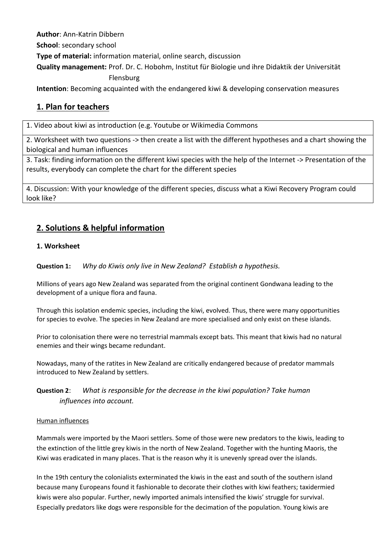**Author**: Ann-Katrin Dibbern

**School**: secondary school

**Type of material:** information material, online search, discussion

**Quality management:** Prof. Dr. C. Hobohm, Institut für Biologie und ihre Didaktik der Universität

### Flensburg

**Intention**: Becoming acquainted with the endangered kiwi & developing conservation measures

# **1. Plan for teachers**

1. Video about kiwi as introduction (e.g. Youtube or Wikimedia Commons

2. Worksheet with two questions -> then create a list with the different hypotheses and a chart showing the biological and human influences

3. Task: finding information on the different kiwi species with the help of the Internet -> Presentation of the results, everybody can complete the chart for the different species

4. Discussion: With your knowledge of the different species, discuss what a Kiwi Recovery Program could look like?

# **2. Solutions & helpful information**

### **1. Worksheet**

**Question 1:** *Why do Kiwis only live in New Zealand? Establish a hypothesis.*

Millions of years ago New Zealand was separated from the original continent Gondwana leading to the development of a unique flora and fauna.

Through this isolation endemic species, including the kiwi, evolved. Thus, there were many opportunities for species to evolve. The species in New Zealand are more specialised and only exist on these islands.

Prior to colonisation there were no terrestrial mammals except bats. This meant that kiwis had no natural enemies and their wings became redundant.

Nowadays, many of the ratites in New Zealand are critically endangered because of predator mammals introduced to New Zealand by settlers.

## **Question 2**: *What is responsible for the decrease in the kiwi population? Take human influences into account.*

#### Human influences

Mammals were imported by the Maori settlers. Some of those were new predators to the kiwis, leading to the extinction of the little grey kiwis in the north of New Zealand. Together with the hunting Maoris, the Kiwi was eradicated in many places. That is the reason why it is unevenly spread over the islands.

In the 19th century the colonialists exterminated the kiwis in the east and south of the southern island because many Europeans found it fashionable to decorate their clothes with kiwi feathers; taxidermied kiwis were also popular. Further, newly imported animals intensified the kiwis' struggle for survival. Especially predators like dogs were responsible for the decimation of the population. Young kiwis are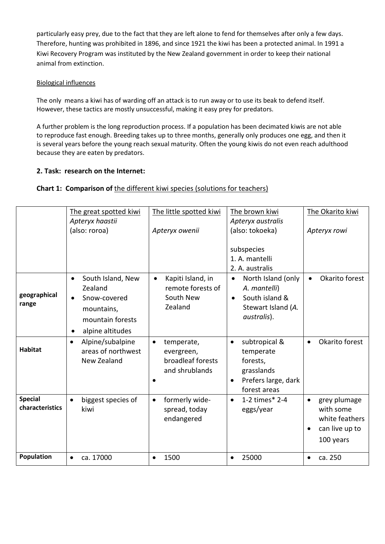particularly easy prey, due to the fact that they are left alone to fend for themselves after only a few days. Therefore, hunting was prohibited in 1896, and since 1921 the kiwi has been a protected animal. In 1991 a Kiwi Recovery Program was instituted by the New Zealand government in order to keep their national animal from extinction.

#### Biological influences

The only means a kiwi has of warding off an attack is to run away or to use its beak to defend itself. However, these tactics are mostly unsuccessful, making it easy prey for predators.

A further problem is the long reproduction process. If a population has been decimated kiwis are not able to reproduce fast enough. Breeding takes up to three months, generally only produces one egg, and then it is several years before the young reach sexual maturity. Often the young kiwis do not even reach adulthood because they are eaten by predators.

### **2. Task: research on the Internet:**

### **Chart 1: Comparison of** the different kiwi species (solutions for teachers)

|                                   | The great spotted kiwi                                                                     | The little spotted kiwi                                                      | The brown kiwi                                                                                                        | The Okarito kiwi                                                                                     |
|-----------------------------------|--------------------------------------------------------------------------------------------|------------------------------------------------------------------------------|-----------------------------------------------------------------------------------------------------------------------|------------------------------------------------------------------------------------------------------|
|                                   | Apteryx haastii<br>(also: roroa)                                                           | Apteryx owenii                                                               | Apteryx australis<br>(also: tokoeka)                                                                                  | Apteryx rowi                                                                                         |
|                                   | South Island, New                                                                          | Kapiti Island, in                                                            | subspecies<br>1. A. mantelli<br>2. A. australis<br>North Island (only<br>$\bullet$                                    | Okarito forest                                                                                       |
| geographical<br>range             | Zealand<br>Snow-covered<br>$\bullet$<br>mountains,<br>mountain forests<br>alpine altitudes | remote forests of<br>South New<br>Zealand                                    | A. mantelli)<br>South island &<br>$\bullet$<br>Stewart Island (A.<br>australis).                                      |                                                                                                      |
| <b>Habitat</b>                    | Alpine/subalpine<br>$\bullet$<br>areas of northwest<br>New Zealand                         | temperate,<br>$\bullet$<br>evergreen,<br>broadleaf forests<br>and shrublands | subtropical &<br>$\bullet$<br>temperate<br>forests,<br>grasslands<br>Prefers large, dark<br>$\bullet$<br>forest areas | Okarito forest<br>$\bullet$                                                                          |
| <b>Special</b><br>characteristics | biggest species of<br>kiwi                                                                 | formerly wide-<br>$\bullet$<br>spread, today<br>endangered                   | 1-2 times* 2-4<br>$\bullet$<br>eggs/year                                                                              | grey plumage<br>$\bullet$<br>with some<br>white feathers<br>can live up to<br>$\bullet$<br>100 years |
| Population                        | ca. 17000<br>$\bullet$                                                                     | 1500                                                                         | 25000                                                                                                                 | ca. 250                                                                                              |